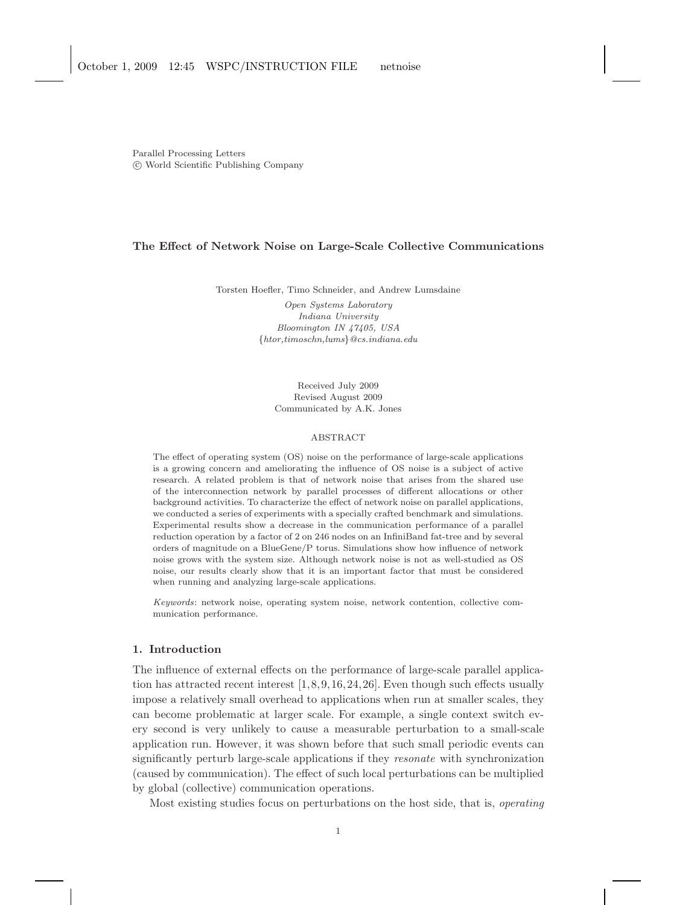Parallel Processing Letters c World Scientific Publishing Company

# The Effect of Network Noise on Large-Scale Collective Communications

Torsten Hoefler, Timo Schneider, and Andrew Lumsdaine Open Systems Laboratory Indiana University Bloomington IN 47405, USA {htor,timoschn,lums}@cs.indiana.edu

> Received July 2009 Revised August 2009 Communicated by A.K. Jones

### ABSTRACT

The effect of operating system (OS) noise on the performance of large-scale applications is a growing concern and ameliorating the influence of OS noise is a subject of active research. A related problem is that of network noise that arises from the shared use of the interconnection network by parallel processes of different allocations or other background activities. To characterize the effect of network noise on parallel applications, we conducted a series of experiments with a specially crafted benchmark and simulations. Experimental results show a decrease in the communication performance of a parallel reduction operation by a factor of 2 on 246 nodes on an InfiniBand fat-tree and by several orders of magnitude on a BlueGene/P torus. Simulations show how influence of network noise grows with the system size. Although network noise is not as well-studied as OS noise, our results clearly show that it is an important factor that must be considered when running and analyzing large-scale applications.

Keywords: network noise, operating system noise, network contention, collective communication performance.

### 1. Introduction

The influence of external effects on the performance of large-scale parallel application has attracted recent interest [1,8,9,16,24,26]. Even though such effects usually impose a relatively small overhead to applications when run at smaller scales, they can become problematic at larger scale. For example, a single context switch every second is very unlikely to cause a measurable perturbation to a small-scale application run. However, it was shown before that such small periodic events can significantly perturb large-scale applications if they resonate with synchronization (caused by communication). The effect of such local perturbations can be multiplied by global (collective) communication operations.

Most existing studies focus on perturbations on the host side, that is, operating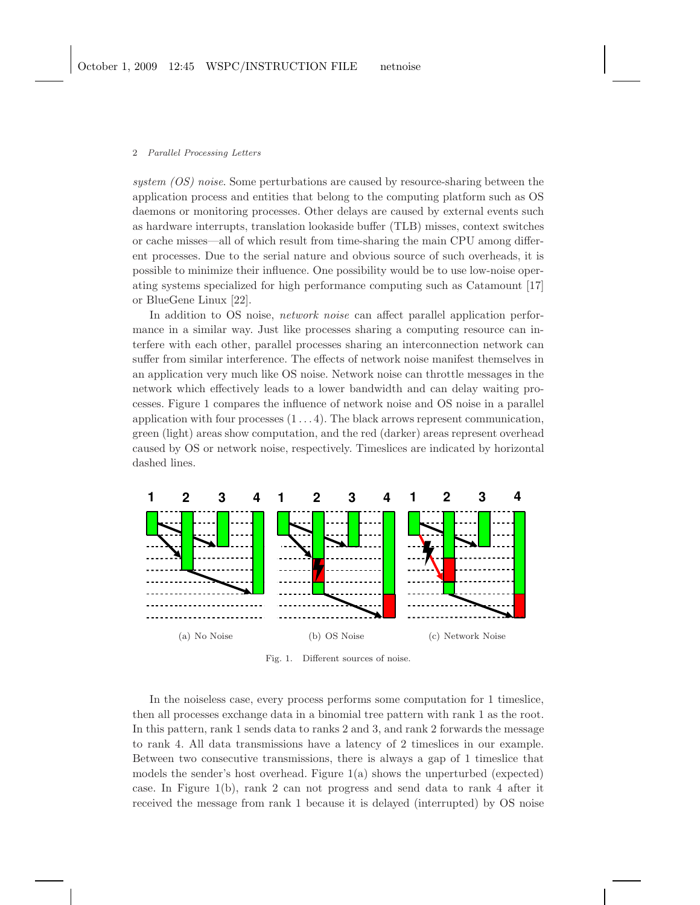system (OS) noise. Some perturbations are caused by resource-sharing between the application process and entities that belong to the computing platform such as OS daemons or monitoring processes. Other delays are caused by external events such as hardware interrupts, translation lookaside buffer (TLB) misses, context switches or cache misses—all of which result from time-sharing the main CPU among different processes. Due to the serial nature and obvious source of such overheads, it is possible to minimize their influence. One possibility would be to use low-noise operating systems specialized for high performance computing such as Catamount [17] or BlueGene Linux [22].

In addition to OS noise, *network noise* can affect parallel application performance in a similar way. Just like processes sharing a computing resource can interfere with each other, parallel processes sharing an interconnection network can suffer from similar interference. The effects of network noise manifest themselves in an application very much like OS noise. Network noise can throttle messages in the network which effectively leads to a lower bandwidth and can delay waiting processes. Figure 1 compares the influence of network noise and OS noise in a parallel application with four processes  $(1 \dots 4)$ . The black arrows represent communication, green (light) areas show computation, and the red (darker) areas represent overhead caused by OS or network noise, respectively. Timeslices are indicated by horizontal dashed lines.



Fig. 1. Different sources of noise.

In the noiseless case, every process performs some computation for 1 timeslice, then all processes exchange data in a binomial tree pattern with rank 1 as the root. In this pattern, rank 1 sends data to ranks 2 and 3, and rank 2 forwards the message to rank 4. All data transmissions have a latency of 2 timeslices in our example. Between two consecutive transmissions, there is always a gap of 1 timeslice that models the sender's host overhead. Figure 1(a) shows the unperturbed (expected) case. In Figure 1(b), rank 2 can not progress and send data to rank 4 after it received the message from rank 1 because it is delayed (interrupted) by OS noise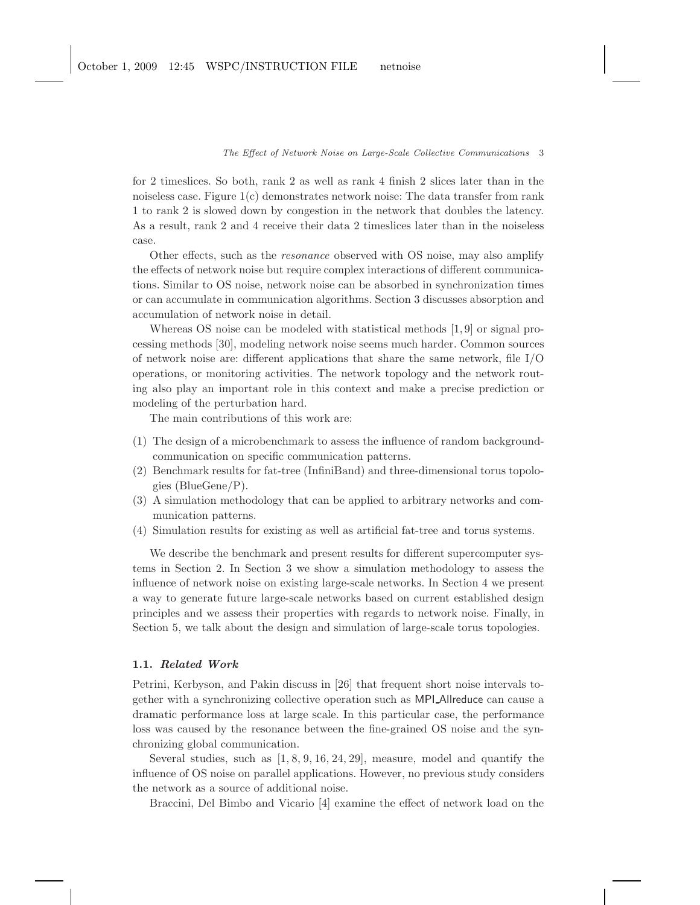for 2 timeslices. So both, rank 2 as well as rank 4 finish 2 slices later than in the noiseless case. Figure 1(c) demonstrates network noise: The data transfer from rank 1 to rank 2 is slowed down by congestion in the network that doubles the latency. As a result, rank 2 and 4 receive their data 2 timeslices later than in the noiseless case.

Other effects, such as the resonance observed with OS noise, may also amplify the effects of network noise but require complex interactions of different communications. Similar to OS noise, network noise can be absorbed in synchronization times or can accumulate in communication algorithms. Section 3 discusses absorption and accumulation of network noise in detail.

Whereas OS noise can be modeled with statistical methods [1,9] or signal processing methods [30], modeling network noise seems much harder. Common sources of network noise are: different applications that share the same network, file I/O operations, or monitoring activities. The network topology and the network routing also play an important role in this context and make a precise prediction or modeling of the perturbation hard.

The main contributions of this work are:

- (1) The design of a microbenchmark to assess the influence of random backgroundcommunication on specific communication patterns.
- (2) Benchmark results for fat-tree (InfiniBand) and three-dimensional torus topologies (BlueGene/P).
- (3) A simulation methodology that can be applied to arbitrary networks and communication patterns.
- (4) Simulation results for existing as well as artificial fat-tree and torus systems.

We describe the benchmark and present results for different supercomputer systems in Section 2. In Section 3 we show a simulation methodology to assess the influence of network noise on existing large-scale networks. In Section 4 we present a way to generate future large-scale networks based on current established design principles and we assess their properties with regards to network noise. Finally, in Section 5, we talk about the design and simulation of large-scale torus topologies.

### 1.1. Related Work

Petrini, Kerbyson, and Pakin discuss in [26] that frequent short noise intervals together with a synchronizing collective operation such as MPI Allreduce can cause a dramatic performance loss at large scale. In this particular case, the performance loss was caused by the resonance between the fine-grained OS noise and the synchronizing global communication.

Several studies, such as [1, 8, 9, 16, 24, 29], measure, model and quantify the influence of OS noise on parallel applications. However, no previous study considers the network as a source of additional noise.

Braccini, Del Bimbo and Vicario [4] examine the effect of network load on the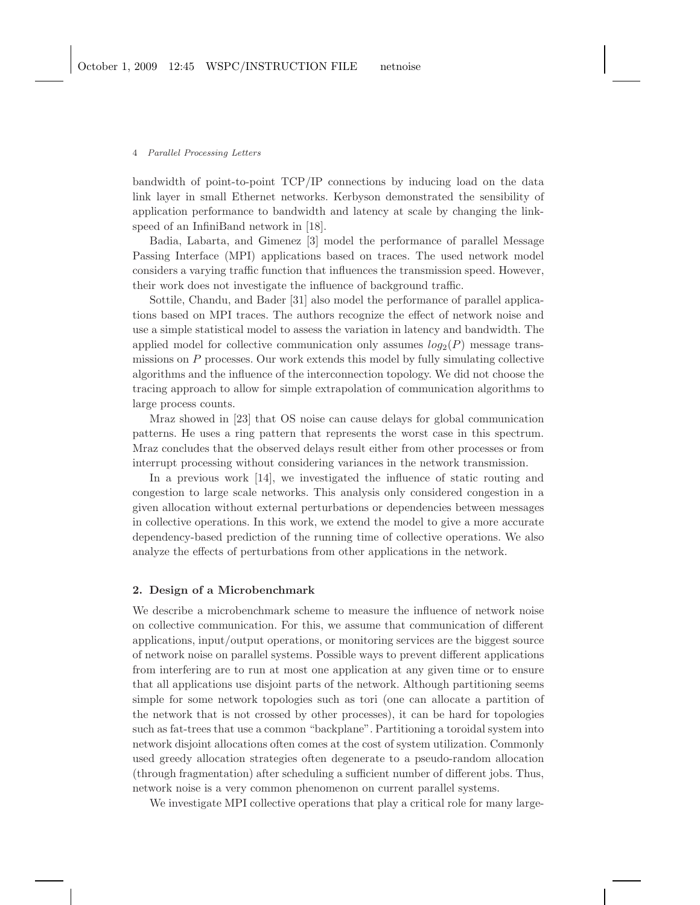bandwidth of point-to-point TCP/IP connections by inducing load on the data link layer in small Ethernet networks. Kerbyson demonstrated the sensibility of application performance to bandwidth and latency at scale by changing the linkspeed of an InfiniBand network in [18].

Badia, Labarta, and Gimenez [3] model the performance of parallel Message Passing Interface (MPI) applications based on traces. The used network model considers a varying traffic function that influences the transmission speed. However, their work does not investigate the influence of background traffic.

Sottile, Chandu, and Bader [31] also model the performance of parallel applications based on MPI traces. The authors recognize the effect of network noise and use a simple statistical model to assess the variation in latency and bandwidth. The applied model for collective communication only assumes  $log_2(P)$  message transmissions on P processes. Our work extends this model by fully simulating collective algorithms and the influence of the interconnection topology. We did not choose the tracing approach to allow for simple extrapolation of communication algorithms to large process counts.

Mraz showed in [23] that OS noise can cause delays for global communication patterns. He uses a ring pattern that represents the worst case in this spectrum. Mraz concludes that the observed delays result either from other processes or from interrupt processing without considering variances in the network transmission.

In a previous work [14], we investigated the influence of static routing and congestion to large scale networks. This analysis only considered congestion in a given allocation without external perturbations or dependencies between messages in collective operations. In this work, we extend the model to give a more accurate dependency-based prediction of the running time of collective operations. We also analyze the effects of perturbations from other applications in the network.

## 2. Design of a Microbenchmark

We describe a microbenchmark scheme to measure the influence of network noise on collective communication. For this, we assume that communication of different applications, input/output operations, or monitoring services are the biggest source of network noise on parallel systems. Possible ways to prevent different applications from interfering are to run at most one application at any given time or to ensure that all applications use disjoint parts of the network. Although partitioning seems simple for some network topologies such as tori (one can allocate a partition of the network that is not crossed by other processes), it can be hard for topologies such as fat-trees that use a common "backplane". Partitioning a toroidal system into network disjoint allocations often comes at the cost of system utilization. Commonly used greedy allocation strategies often degenerate to a pseudo-random allocation (through fragmentation) after scheduling a sufficient number of different jobs. Thus, network noise is a very common phenomenon on current parallel systems.

We investigate MPI collective operations that play a critical role for many large-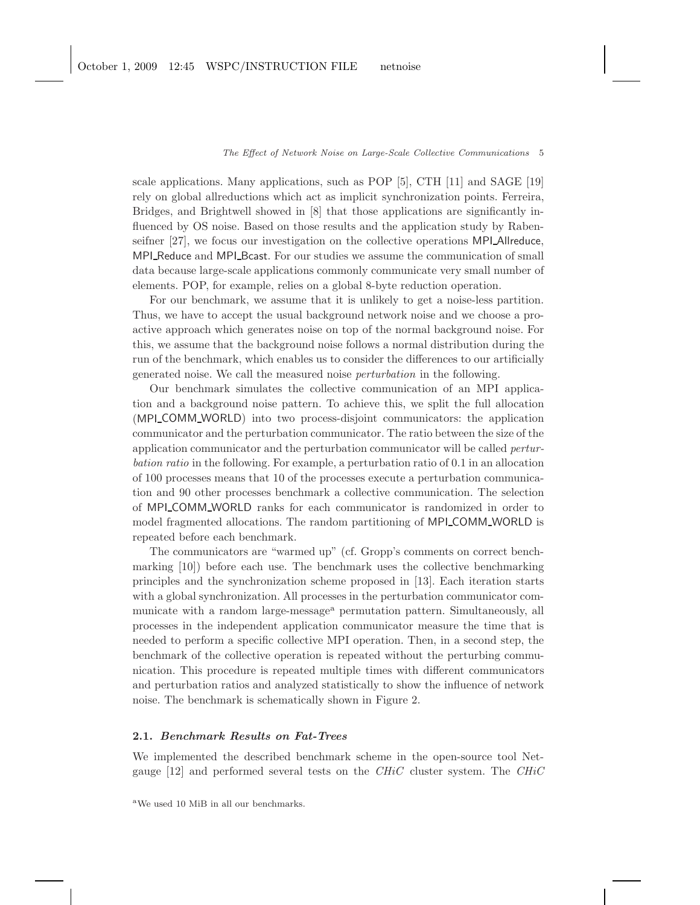scale applications. Many applications, such as POP [5], CTH [11] and SAGE [19] rely on global allreductions which act as implicit synchronization points. Ferreira, Bridges, and Brightwell showed in [8] that those applications are significantly influenced by OS noise. Based on those results and the application study by Rabenseifner [27], we focus our investigation on the collective operations MPI Allreduce, MPI Reduce and MPI Bcast. For our studies we assume the communication of small data because large-scale applications commonly communicate very small number of elements. POP, for example, relies on a global 8-byte reduction operation.

For our benchmark, we assume that it is unlikely to get a noise-less partition. Thus, we have to accept the usual background network noise and we choose a proactive approach which generates noise on top of the normal background noise. For this, we assume that the background noise follows a normal distribution during the run of the benchmark, which enables us to consider the differences to our artificially generated noise. We call the measured noise perturbation in the following.

Our benchmark simulates the collective communication of an MPI application and a background noise pattern. To achieve this, we split the full allocation (MPI COMM WORLD) into two process-disjoint communicators: the application communicator and the perturbation communicator. The ratio between the size of the application communicator and the perturbation communicator will be called perturbation ratio in the following. For example, a perturbation ratio of 0.1 in an allocation of 100 processes means that 10 of the processes execute a perturbation communication and 90 other processes benchmark a collective communication. The selection of MPI COMM WORLD ranks for each communicator is randomized in order to model fragmented allocations. The random partitioning of MPI COMM WORLD is repeated before each benchmark.

The communicators are "warmed up" (cf. Gropp's comments on correct benchmarking [10]) before each use. The benchmark uses the collective benchmarking principles and the synchronization scheme proposed in [13]. Each iteration starts with a global synchronization. All processes in the perturbation communicator communicate with a random large-message<sup>a</sup> permutation pattern. Simultaneously, all processes in the independent application communicator measure the time that is needed to perform a specific collective MPI operation. Then, in a second step, the benchmark of the collective operation is repeated without the perturbing communication. This procedure is repeated multiple times with different communicators and perturbation ratios and analyzed statistically to show the influence of network noise. The benchmark is schematically shown in Figure 2.

# 2.1. Benchmark Results on Fat-Trees

We implemented the described benchmark scheme in the open-source tool Netgauge  $[12]$  and performed several tests on the CHiC cluster system. The CHiC

<sup>a</sup>We used 10 MiB in all our benchmarks.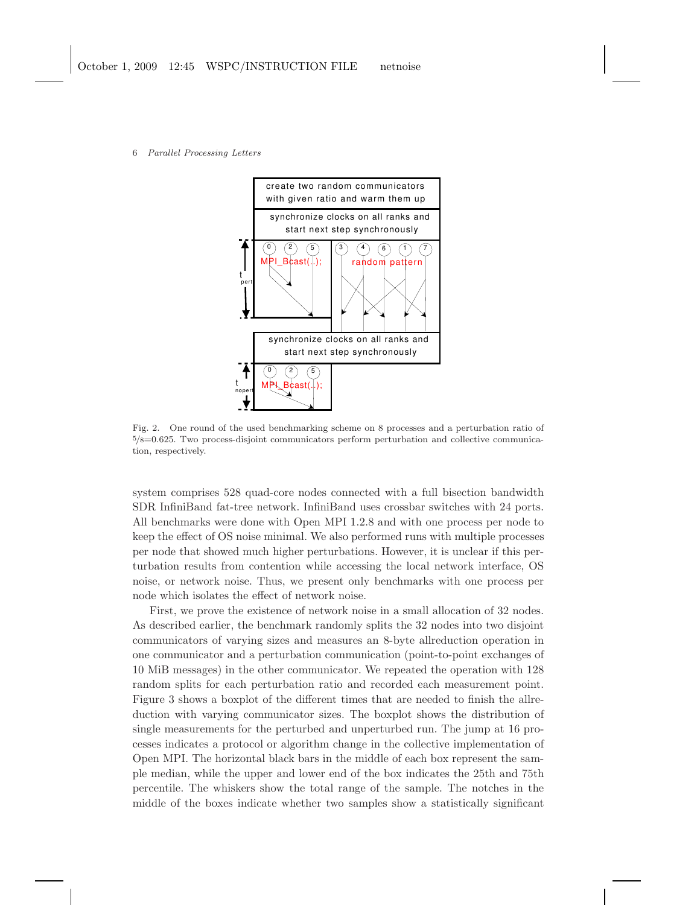

Fig. 2. One round of the used benchmarking scheme on 8 processes and a perturbation ratio of <sup>5</sup>/8=0.625. Two process-disjoint communicators perform perturbation and collective communication, respectively.

system comprises 528 quad-core nodes connected with a full bisection bandwidth SDR InfiniBand fat-tree network. InfiniBand uses crossbar switches with 24 ports. All benchmarks were done with Open MPI 1.2.8 and with one process per node to keep the effect of OS noise minimal. We also performed runs with multiple processes per node that showed much higher perturbations. However, it is unclear if this perturbation results from contention while accessing the local network interface, OS noise, or network noise. Thus, we present only benchmarks with one process per node which isolates the effect of network noise.

First, we prove the existence of network noise in a small allocation of 32 nodes. As described earlier, the benchmark randomly splits the 32 nodes into two disjoint communicators of varying sizes and measures an 8-byte allreduction operation in one communicator and a perturbation communication (point-to-point exchanges of 10 MiB messages) in the other communicator. We repeated the operation with 128 random splits for each perturbation ratio and recorded each measurement point. Figure 3 shows a boxplot of the different times that are needed to finish the allreduction with varying communicator sizes. The boxplot shows the distribution of single measurements for the perturbed and unperturbed run. The jump at 16 processes indicates a protocol or algorithm change in the collective implementation of Open MPI. The horizontal black bars in the middle of each box represent the sample median, while the upper and lower end of the box indicates the 25th and 75th percentile. The whiskers show the total range of the sample. The notches in the middle of the boxes indicate whether two samples show a statistically significant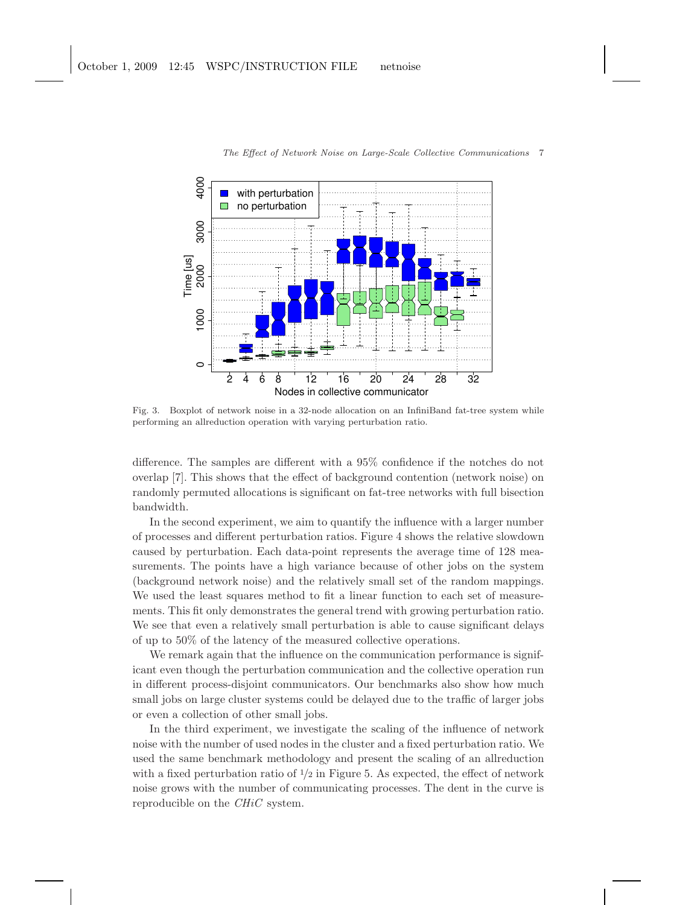

Fig. 3. Boxplot of network noise in a 32-node allocation on an InfiniBand fat-tree system while performing an allreduction operation with varying perturbation ratio.

difference. The samples are different with a 95% confidence if the notches do not overlap [7]. This shows that the effect of background contention (network noise) on randomly permuted allocations is significant on fat-tree networks with full bisection bandwidth.

In the second experiment, we aim to quantify the influence with a larger number of processes and different perturbation ratios. Figure 4 shows the relative slowdown caused by perturbation. Each data-point represents the average time of 128 measurements. The points have a high variance because of other jobs on the system (background network noise) and the relatively small set of the random mappings. We used the least squares method to fit a linear function to each set of measurements. This fit only demonstrates the general trend with growing perturbation ratio. We see that even a relatively small perturbation is able to cause significant delays of up to 50% of the latency of the measured collective operations.

We remark again that the influence on the communication performance is significant even though the perturbation communication and the collective operation run in different process-disjoint communicators. Our benchmarks also show how much small jobs on large cluster systems could be delayed due to the traffic of larger jobs or even a collection of other small jobs.

In the third experiment, we investigate the scaling of the influence of network noise with the number of used nodes in the cluster and a fixed perturbation ratio. We used the same benchmark methodology and present the scaling of an allreduction with a fixed perturbation ratio of  $\frac{1}{2}$  in Figure 5. As expected, the effect of network noise grows with the number of communicating processes. The dent in the curve is reproducible on the CHiC system.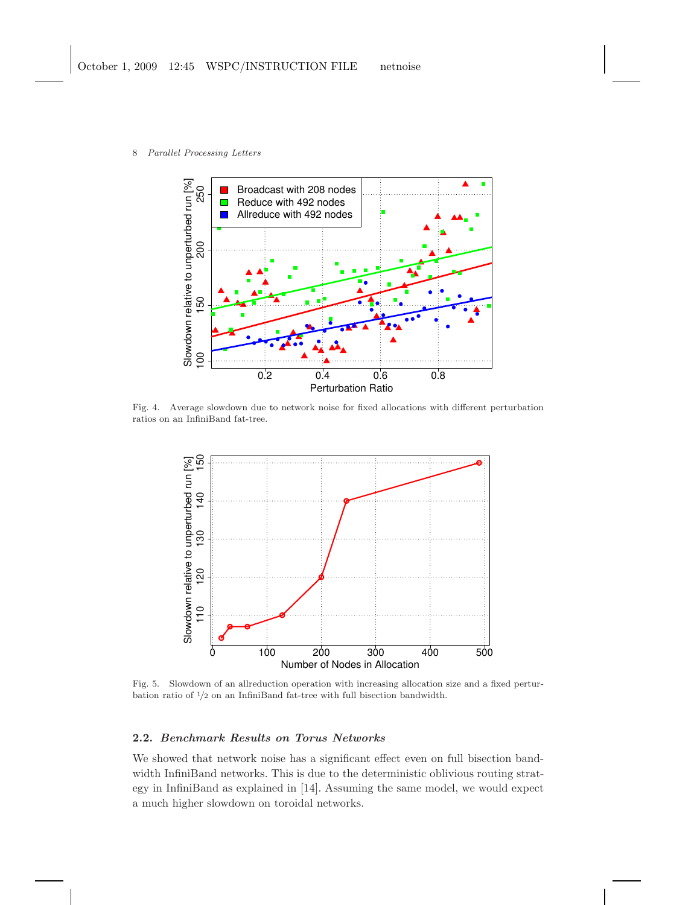- Slowdown relative to unperturbed run [%] Slowdown relative to unperturbed run [%] 250 Broadcast with 208 nodes 100 150 200 250 Reduce with 492 nodes Allreduce with 492 nodes 200 150  $100$ 0.2 0.4 0.6 0.8 Perturbation Ratio
- 8 Parallel Processing Letters

Fig. 4. Average slowdown due to network noise for fixed allocations with different perturbation ratios on an InfiniBand fat-tree.



Fig. 5. Slowdown of an allreduction operation with increasing allocation size and a fixed perturbation ratio of <sup>1</sup>/<sup>2</sup> on an InfiniBand fat-tree with full bisection bandwidth.

# 2.2. Benchmark Results on Torus Networks

We showed that network noise has a significant effect even on full bisection bandwidth InfiniBand networks. This is due to the deterministic oblivious routing strategy in InfiniBand as explained in [14]. Assuming the same model, we would expect a much higher slowdown on toroidal networks.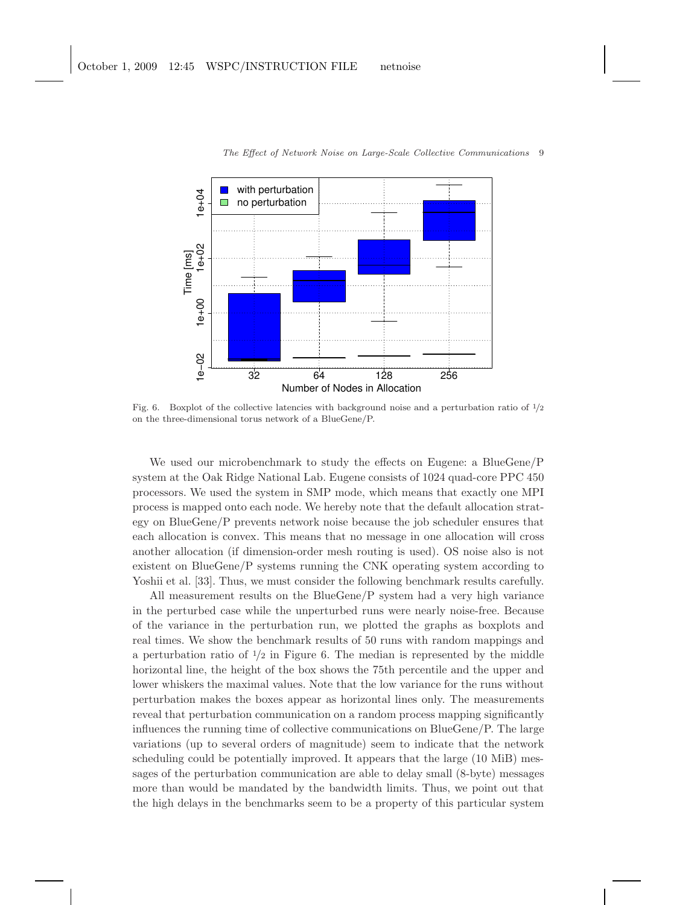

Fig. 6. Boxplot of the collective latencies with background noise and a perturbation ratio of  $1/2$ on the three-dimensional torus network of a BlueGene/P.

We used our microbenchmark to study the effects on Eugene: a BlueGene/P system at the Oak Ridge National Lab. Eugene consists of 1024 quad-core PPC 450 processors. We used the system in SMP mode, which means that exactly one MPI process is mapped onto each node. We hereby note that the default allocation strategy on BlueGene/P prevents network noise because the job scheduler ensures that each allocation is convex. This means that no message in one allocation will cross another allocation (if dimension-order mesh routing is used). OS noise also is not existent on BlueGene/P systems running the CNK operating system according to Yoshii et al. [33]. Thus, we must consider the following benchmark results carefully.

All measurement results on the BlueGene/P system had a very high variance in the perturbed case while the unperturbed runs were nearly noise-free. Because of the variance in the perturbation run, we plotted the graphs as boxplots and real times. We show the benchmark results of 50 runs with random mappings and a perturbation ratio of  $\frac{1}{2}$  in Figure 6. The median is represented by the middle horizontal line, the height of the box shows the 75th percentile and the upper and lower whiskers the maximal values. Note that the low variance for the runs without perturbation makes the boxes appear as horizontal lines only. The measurements reveal that perturbation communication on a random process mapping significantly influences the running time of collective communications on BlueGene/P. The large variations (up to several orders of magnitude) seem to indicate that the network scheduling could be potentially improved. It appears that the large (10 MiB) messages of the perturbation communication are able to delay small (8-byte) messages more than would be mandated by the bandwidth limits. Thus, we point out that the high delays in the benchmarks seem to be a property of this particular system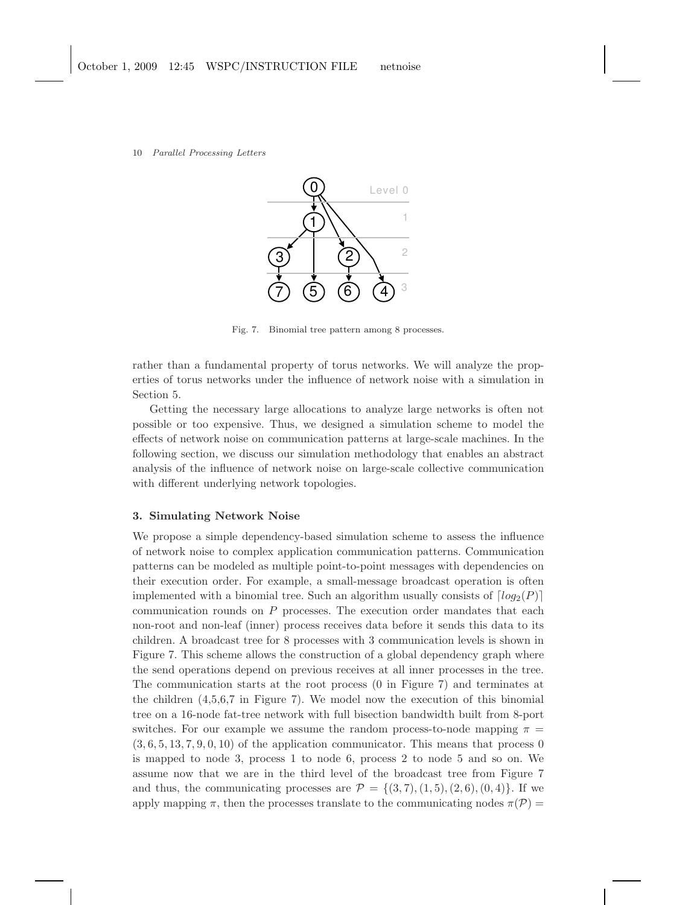

Fig. 7. Binomial tree pattern among 8 processes.

rather than a fundamental property of torus networks. We will analyze the properties of torus networks under the influence of network noise with a simulation in Section 5.

Getting the necessary large allocations to analyze large networks is often not possible or too expensive. Thus, we designed a simulation scheme to model the effects of network noise on communication patterns at large-scale machines. In the following section, we discuss our simulation methodology that enables an abstract analysis of the influence of network noise on large-scale collective communication with different underlying network topologies.

## 3. Simulating Network Noise

We propose a simple dependency-based simulation scheme to assess the influence of network noise to complex application communication patterns. Communication patterns can be modeled as multiple point-to-point messages with dependencies on their execution order. For example, a small-message broadcast operation is often implemented with a binomial tree. Such an algorithm usually consists of  $\lceil log_2(P) \rceil$ communication rounds on  $P$  processes. The execution order mandates that each non-root and non-leaf (inner) process receives data before it sends this data to its children. A broadcast tree for 8 processes with 3 communication levels is shown in Figure 7. This scheme allows the construction of a global dependency graph where the send operations depend on previous receives at all inner processes in the tree. The communication starts at the root process (0 in Figure 7) and terminates at the children (4,5,6,7 in Figure 7). We model now the execution of this binomial tree on a 16-node fat-tree network with full bisection bandwidth built from 8-port switches. For our example we assume the random process-to-node mapping  $\pi$  =  $(3, 6, 5, 13, 7, 9, 0, 10)$  of the application communicator. This means that process 0 is mapped to node 3, process 1 to node 6, process 2 to node 5 and so on. We assume now that we are in the third level of the broadcast tree from Figure 7 and thus, the communicating processes are  $\mathcal{P} = \{(3,7), (1,5), (2,6), (0,4)\}\.$  If we apply mapping  $\pi$ , then the processes translate to the communicating nodes  $\pi(\mathcal{P}) =$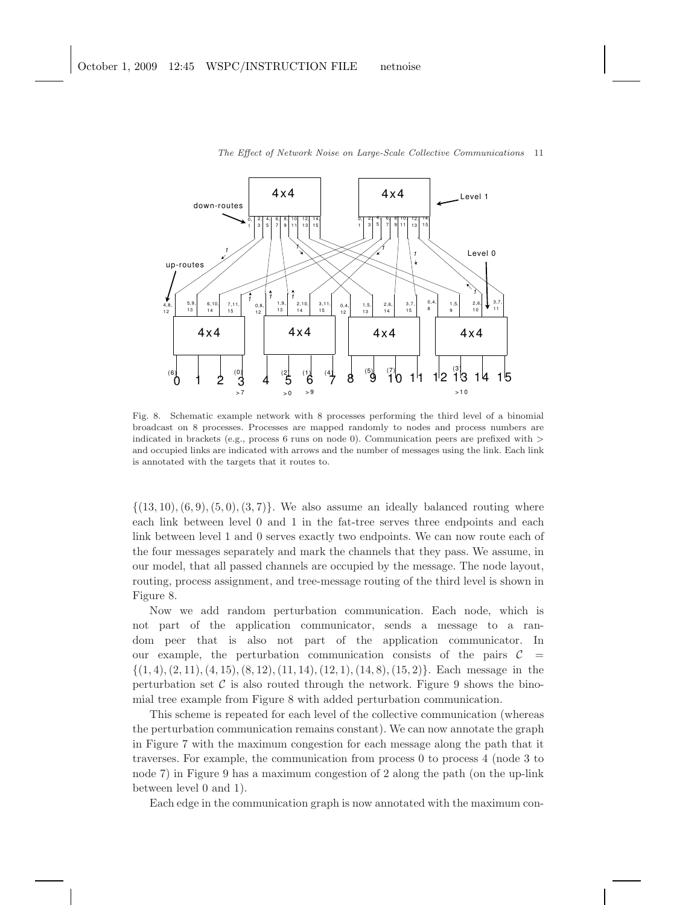

Fig. 8. Schematic example network with 8 processes performing the third level of a binomial broadcast on 8 processes. Processes are mapped randomly to nodes and process numbers are indicated in brackets (e.g., process 6 runs on node 0). Communication peers are prefixed with  $>$ and occupied links are indicated with arrows and the number of messages using the link. Each link is annotated with the targets that it routes to.

 $\{(13, 10), (6, 9), (5, 0), (3, 7)\}.$  We also assume an ideally balanced routing where each link between level 0 and 1 in the fat-tree serves three endpoints and each link between level 1 and 0 serves exactly two endpoints. We can now route each of the four messages separately and mark the channels that they pass. We assume, in our model, that all passed channels are occupied by the message. The node layout, routing, process assignment, and tree-message routing of the third level is shown in Figure 8.

Now we add random perturbation communication. Each node, which is not part of the application communicator, sends a message to a random peer that is also not part of the application communicator. In our example, the perturbation communication consists of the pairs  $\mathcal{C}$  =  $\{(1, 4), (2, 11), (4, 15), (8, 12), (11, 14), (12, 1), (14, 8), (15, 2)\}.$  Each message in the perturbation set  $\mathcal C$  is also routed through the network. Figure 9 shows the binomial tree example from Figure 8 with added perturbation communication.

This scheme is repeated for each level of the collective communication (whereas the perturbation communication remains constant). We can now annotate the graph in Figure 7 with the maximum congestion for each message along the path that it traverses. For example, the communication from process 0 to process 4 (node 3 to node 7) in Figure 9 has a maximum congestion of 2 along the path (on the up-link between level 0 and 1).

Each edge in the communication graph is now annotated with the maximum con-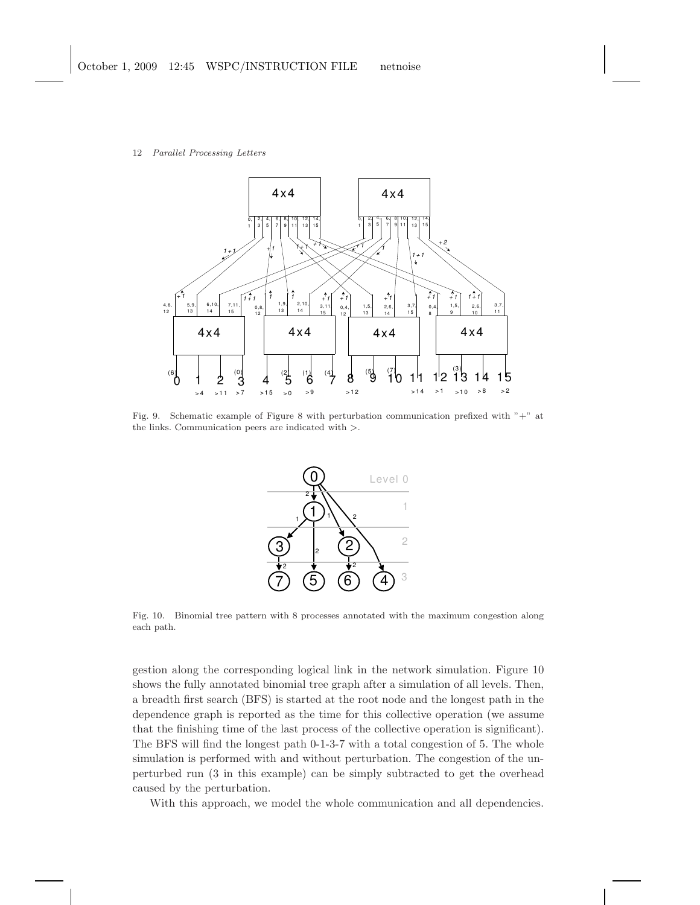

Fig. 9. Schematic example of Figure 8 with perturbation communication prefixed with "+" at the links. Communication peers are indicated with >.



Fig. 10. Binomial tree pattern with 8 processes annotated with the maximum congestion along each path.

gestion along the corresponding logical link in the network simulation. Figure 10 shows the fully annotated binomial tree graph after a simulation of all levels. Then, a breadth first search (BFS) is started at the root node and the longest path in the dependence graph is reported as the time for this collective operation (we assume that the finishing time of the last process of the collective operation is significant). The BFS will find the longest path 0-1-3-7 with a total congestion of 5. The whole simulation is performed with and without perturbation. The congestion of the unperturbed run (3 in this example) can be simply subtracted to get the overhead caused by the perturbation.

With this approach, we model the whole communication and all dependencies.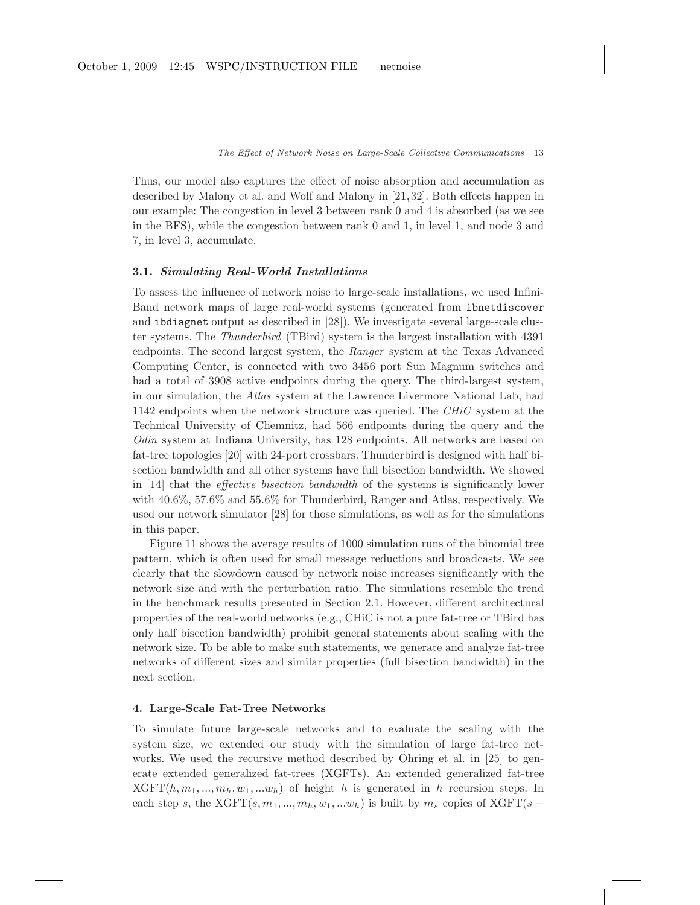Thus, our model also captures the effect of noise absorption and accumulation as described by Malony et al. and Wolf and Malony in [21, 32]. Both effects happen in our example: The congestion in level 3 between rank 0 and 4 is absorbed (as we see in the BFS), while the congestion between rank 0 and 1, in level 1, and node 3 and 7, in level 3, accumulate.

### 3.1. Simulating Real-World Installations

To assess the influence of network noise to large-scale installations, we used Infini-Band network maps of large real-world systems (generated from ibnetdiscover and ibdiagnet output as described in [28]). We investigate several large-scale cluster systems. The Thunderbird (TBird) system is the largest installation with 4391 endpoints. The second largest system, the Ranger system at the Texas Advanced Computing Center, is connected with two 3456 port Sun Magnum switches and had a total of 3908 active endpoints during the query. The third-largest system, in our simulation, the Atlas system at the Lawrence Livermore National Lab, had 1142 endpoints when the network structure was queried. The  $CHiC$  system at the Technical University of Chemnitz, had 566 endpoints during the query and the Odin system at Indiana University, has 128 endpoints. All networks are based on fat-tree topologies [20] with 24-port crossbars. Thunderbird is designed with half bisection bandwidth and all other systems have full bisection bandwidth. We showed in [14] that the effective bisection bandwidth of the systems is significantly lower with 40.6%, 57.6% and 55.6% for Thunderbird, Ranger and Atlas, respectively. We used our network simulator [28] for those simulations, as well as for the simulations in this paper.

Figure 11 shows the average results of 1000 simulation runs of the binomial tree pattern, which is often used for small message reductions and broadcasts. We see clearly that the slowdown caused by network noise increases significantly with the network size and with the perturbation ratio. The simulations resemble the trend in the benchmark results presented in Section 2.1. However, different architectural properties of the real-world networks (e.g., CHiC is not a pure fat-tree or TBird has only half bisection bandwidth) prohibit general statements about scaling with the network size. To be able to make such statements, we generate and analyze fat-tree networks of different sizes and similar properties (full bisection bandwidth) in the next section.

# 4. Large-Scale Fat-Tree Networks

To simulate future large-scale networks and to evaluate the scaling with the system size, we extended our study with the simulation of large fat-tree networks. We used the recursive method described by  $\ddot{\text{Ohring}}$  et al. in [25] to generate extended generalized fat-trees (XGFTs). An extended generalized fat-tree  $XGFT(h, m_1, ..., m_h, w_1, ...w_h)$  of height h is generated in h recursion steps. In each step s, the  $XGFT(s, m_1, ..., m_h, w_1, ...w_h)$  is built by  $m_s$  copies of  $XGFT(s -$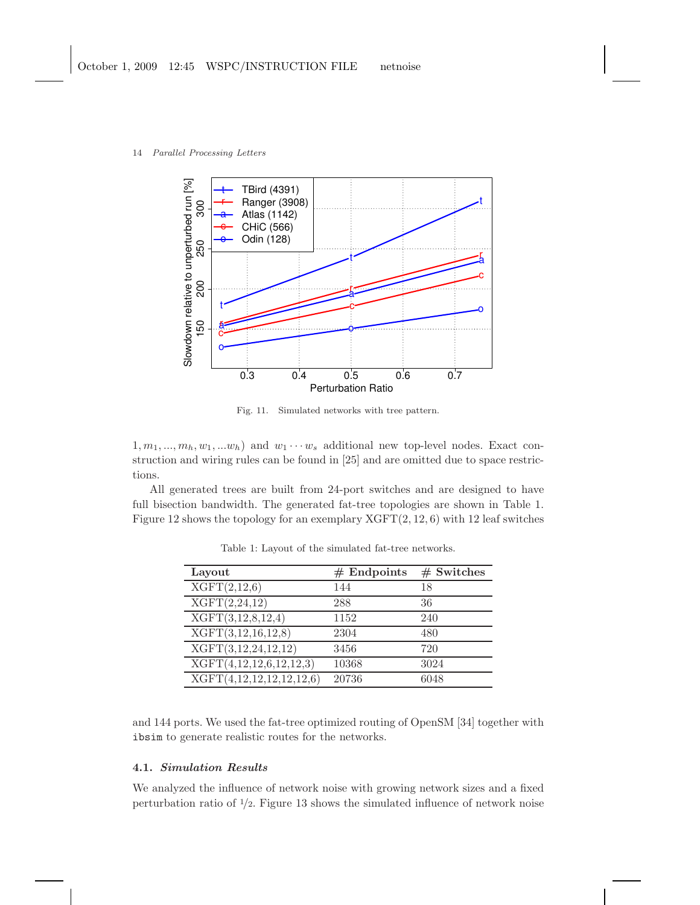

Fig. 11. Simulated networks with tree pattern.

 $1, m_1, ..., m_h, w_1, ...w_h$  and  $w_1 \cdots w_s$  additional new top-level nodes. Exact construction and wiring rules can be found in [25] and are omitted due to space restrictions.

All generated trees are built from 24-port switches and are designed to have full bisection bandwidth. The generated fat-tree topologies are shown in Table 1. Figure 12 shows the topology for an exemplary  $XGFT(2, 12, 6)$  with 12 leaf switches

| Layout                                  | $#$ Endpoints | $#$ Switches |
|-----------------------------------------|---------------|--------------|
| XGFT(2,12,6)                            | 144           | 18           |
| XGFT(2,24,12)                           | 288           | 36           |
| XGFT(3,12,8,12,4)                       | 1152          | 240          |
| XGFT(3,12,16,12,8)                      | 2304          | 480          |
| $\overline{\text{XGFT}}(3,12,24,12,12)$ | 3456          | 720          |
| XGFT(4,12,12,6,12,12,3)                 | 10368         | 3024         |
| XGFT(4,12,12,12,12,12,6)                | 20736         | 6048         |

Table 1: Layout of the simulated fat-tree networks.

and 144 ports. We used the fat-tree optimized routing of OpenSM [34] together with ibsim to generate realistic routes for the networks.

# 4.1. Simulation Results

We analyzed the influence of network noise with growing network sizes and a fixed perturbation ratio of  $\frac{1}{2}$ . Figure 13 shows the simulated influence of network noise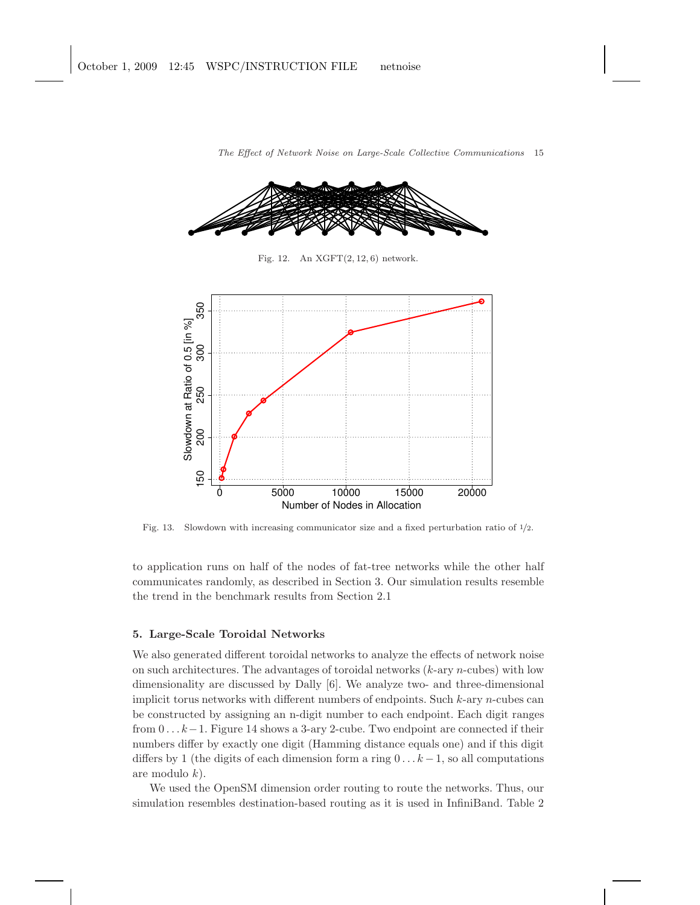

Fig. 12. An  $XGFT(2, 12, 6)$  network.



Fig. 13. Slowdown with increasing communicator size and a fixed perturbation ratio of <sup>1</sup>/2.

to application runs on half of the nodes of fat-tree networks while the other half communicates randomly, as described in Section 3. Our simulation results resemble the trend in the benchmark results from Section 2.1

# 5. Large-Scale Toroidal Networks

We also generated different toroidal networks to analyze the effects of network noise on such architectures. The advantages of toroidal networks  $(k$ -ary n-cubes) with low dimensionality are discussed by Dally [6]. We analyze two- and three-dimensional implicit torus networks with different numbers of endpoints. Such  $k$ -ary *n*-cubes can be constructed by assigning an n-digit number to each endpoint. Each digit ranges from  $0 \ldots k-1$ . Figure 14 shows a 3-ary 2-cube. Two endpoint are connected if their numbers differ by exactly one digit (Hamming distance equals one) and if this digit differs by 1 (the digits of each dimension form a ring  $0 \dots k-1$ , so all computations are modulo  $k$ ).

We used the OpenSM dimension order routing to route the networks. Thus, our simulation resembles destination-based routing as it is used in InfiniBand. Table 2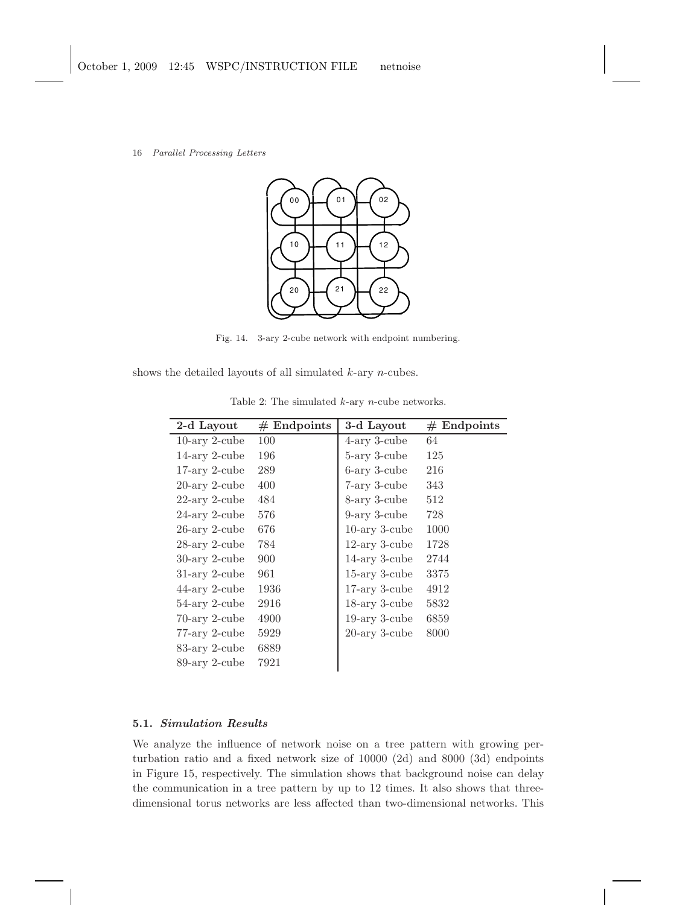

Fig. 14. 3-ary 2-cube network with endpoint numbering.

shows the detailed layouts of all simulated k-ary n-cubes.

| 2-d Layout                    | $#$ Endpoints | 3-d Layout       | $#$ Endpoints |
|-------------------------------|---------------|------------------|---------------|
| $10\text{-ary }2\text{-cube}$ | 100           | 4-ary 3-cube     | 64            |
| $14$ -ary 2-cube              | 196           | 5-ary 3-cube     | 125           |
| $17$ -ary 2-cube              | 289           | 6-ary 3-cube     | 216           |
| $20$ -ary $2$ -cube           | 400           | 7-ary 3-cube     | 343           |
| $22$ -ary 2-cube              | 484           | 8-ary 3-cube     | 512           |
| 24-ary 2-cube                 | 576           | 9-ary 3-cube     | 728           |
| $26$ -ary 2-cube              | 676           | $10$ -ary 3-cube | 1000          |
| $28$ -ary 2-cube              | 784           | $12$ -ary 3-cube | 1728          |
| $30$ -ary 2-cube              | 900           | $14$ -ary 3-cube | 2744          |
| $31$ -ary 2-cube              | 961           | $15$ -ary 3-cube | 3375          |
| $44$ -ary 2-cube              | 1936          | $17$ -ary 3-cube | 4912          |
| 54-ary 2-cube                 | 2916          | $18$ -ary 3-cube | 5832          |
| $70$ -ary 2-cube              | 4900          | $19-ary$ 3-cube  | 6859          |
| 77-ary 2-cube                 | 5929          | $20$ -ary 3-cube | 8000          |
| 83-ary 2-cube                 | 6889          |                  |               |
| 89-ary 2-cube                 | 7921          |                  |               |

Table 2: The simulated  $k$ -ary  $n\text{-cube}$  networks.

# 5.1. Simulation Results

We analyze the influence of network noise on a tree pattern with growing perturbation ratio and a fixed network size of 10000 (2d) and 8000 (3d) endpoints in Figure 15, respectively. The simulation shows that background noise can delay the communication in a tree pattern by up to 12 times. It also shows that threedimensional torus networks are less affected than two-dimensional networks. This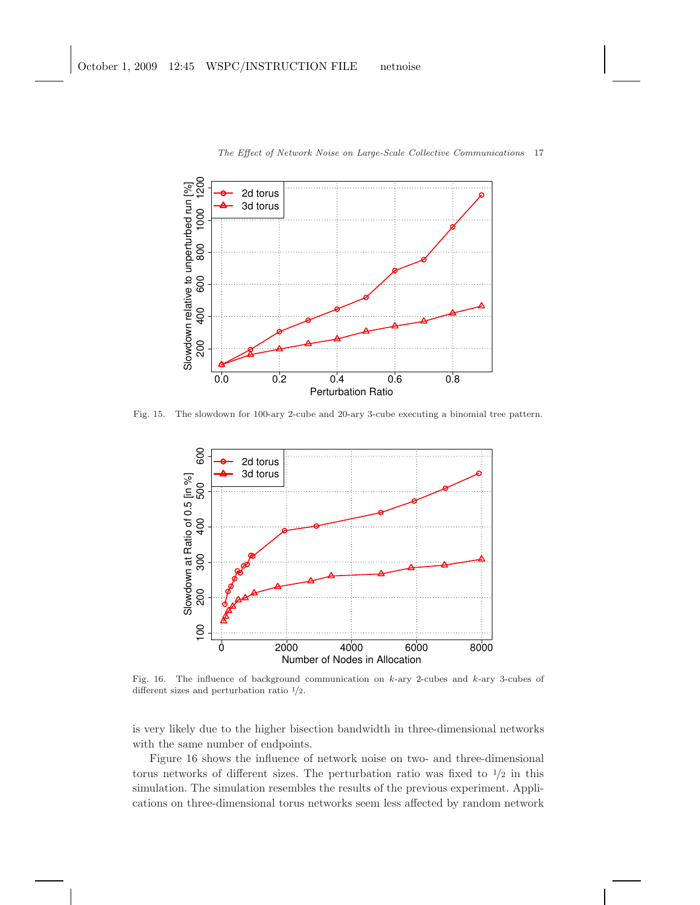

Fig. 15. The slowdown for 100-ary 2-cube and 20-ary 3-cube executing a binomial tree pattern.



Fig. 16. The influence of background communication on k-ary 2-cubes and k-ary 3-cubes of different sizes and perturbation ratio <sup>1</sup>/2.

is very likely due to the higher bisection bandwidth in three-dimensional networks with the same number of endpoints.

Figure 16 shows the influence of network noise on two- and three-dimensional torus networks of different sizes. The perturbation ratio was fixed to  $\frac{1}{2}$  in this simulation. The simulation resembles the results of the previous experiment. Applications on three-dimensional torus networks seem less affected by random network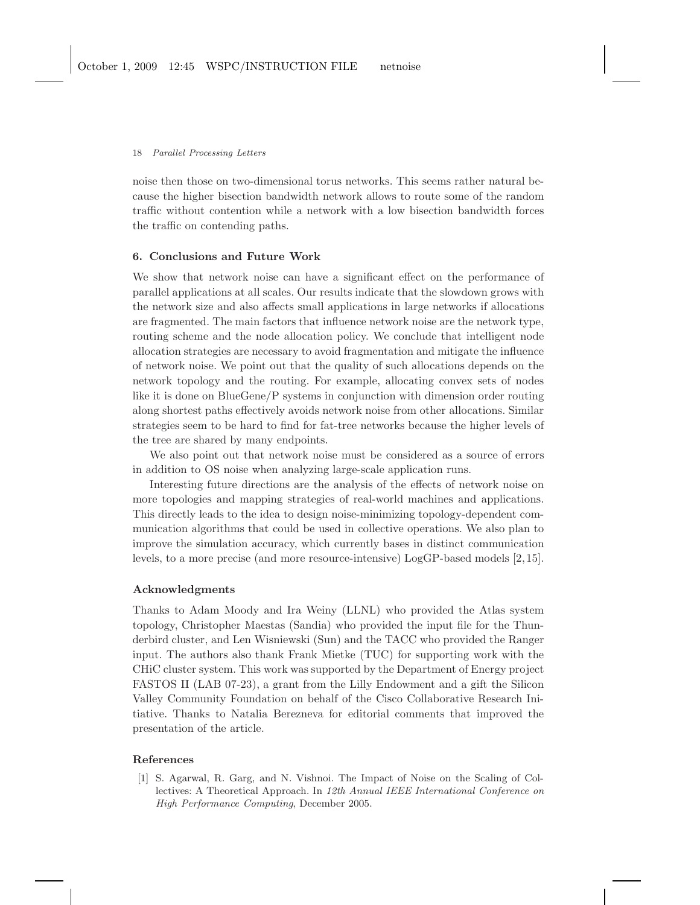noise then those on two-dimensional torus networks. This seems rather natural because the higher bisection bandwidth network allows to route some of the random traffic without contention while a network with a low bisection bandwidth forces the traffic on contending paths.

### 6. Conclusions and Future Work

We show that network noise can have a significant effect on the performance of parallel applications at all scales. Our results indicate that the slowdown grows with the network size and also affects small applications in large networks if allocations are fragmented. The main factors that influence network noise are the network type, routing scheme and the node allocation policy. We conclude that intelligent node allocation strategies are necessary to avoid fragmentation and mitigate the influence of network noise. We point out that the quality of such allocations depends on the network topology and the routing. For example, allocating convex sets of nodes like it is done on BlueGene/P systems in conjunction with dimension order routing along shortest paths effectively avoids network noise from other allocations. Similar strategies seem to be hard to find for fat-tree networks because the higher levels of the tree are shared by many endpoints.

We also point out that network noise must be considered as a source of errors in addition to OS noise when analyzing large-scale application runs.

Interesting future directions are the analysis of the effects of network noise on more topologies and mapping strategies of real-world machines and applications. This directly leads to the idea to design noise-minimizing topology-dependent communication algorithms that could be used in collective operations. We also plan to improve the simulation accuracy, which currently bases in distinct communication levels, to a more precise (and more resource-intensive) LogGP-based models [2, 15].

## Acknowledgments

Thanks to Adam Moody and Ira Weiny (LLNL) who provided the Atlas system topology, Christopher Maestas (Sandia) who provided the input file for the Thunderbird cluster, and Len Wisniewski (Sun) and the TACC who provided the Ranger input. The authors also thank Frank Mietke (TUC) for supporting work with the CHiC cluster system. This work was supported by the Department of Energy project FASTOS II (LAB 07-23), a grant from the Lilly Endowment and a gift the Silicon Valley Community Foundation on behalf of the Cisco Collaborative Research Initiative. Thanks to Natalia Berezneva for editorial comments that improved the presentation of the article.

### References

[1] S. Agarwal, R. Garg, and N. Vishnoi. The Impact of Noise on the Scaling of Collectives: A Theoretical Approach. In *12th Annual IEEE International Conference on High Performance Computing*, December 2005.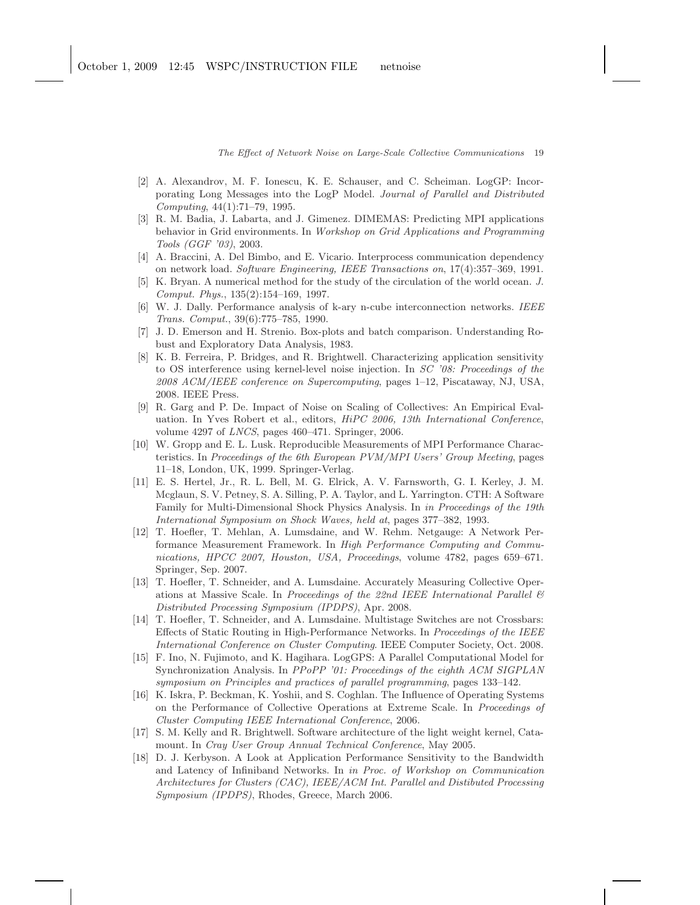- [2] A. Alexandrov, M. F. Ionescu, K. E. Schauser, and C. Scheiman. LogGP: Incorporating Long Messages into the LogP Model. *Journal of Parallel and Distributed Computing*, 44(1):71–79, 1995.
- [3] R. M. Badia, J. Labarta, and J. Gimenez. DIMEMAS: Predicting MPI applications behavior in Grid environments. In *Workshop on Grid Applications and Programming Tools (GGF '03)*, 2003.
- [4] A. Braccini, A. Del Bimbo, and E. Vicario. Interprocess communication dependency on network load. *Software Engineering, IEEE Transactions on*, 17(4):357–369, 1991.
- [5] K. Bryan. A numerical method for the study of the circulation of the world ocean. *J. Comput. Phys.*, 135(2):154–169, 1997.
- [6] W. J. Dally. Performance analysis of k-ary n-cube interconnection networks. *IEEE Trans. Comput.*, 39(6):775–785, 1990.
- [7] J. D. Emerson and H. Strenio. Box-plots and batch comparison. Understanding Robust and Exploratory Data Analysis, 1983.
- [8] K. B. Ferreira, P. Bridges, and R. Brightwell. Characterizing application sensitivity to OS interference using kernel-level noise injection. In *SC '08: Proceedings of the 2008 ACM/IEEE conference on Supercomputing*, pages 1–12, Piscataway, NJ, USA, 2008. IEEE Press.
- [9] R. Garg and P. De. Impact of Noise on Scaling of Collectives: An Empirical Evaluation. In Yves Robert et al., editors, *HiPC 2006, 13th International Conference*, volume 4297 of *LNCS*, pages 460–471. Springer, 2006.
- [10] W. Gropp and E. L. Lusk. Reproducible Measurements of MPI Performance Characteristics. In *Proceedings of the 6th European PVM/MPI Users' Group Meeting*, pages 11–18, London, UK, 1999. Springer-Verlag.
- [11] E. S. Hertel, Jr., R. L. Bell, M. G. Elrick, A. V. Farnsworth, G. I. Kerley, J. M. Mcglaun, S. V. Petney, S. A. Silling, P. A. Taylor, and L. Yarrington. CTH: A Software Family for Multi-Dimensional Shock Physics Analysis. In *in Proceedings of the 19th International Symposium on Shock Waves, held at*, pages 377–382, 1993.
- [12] T. Hoefler, T. Mehlan, A. Lumsdaine, and W. Rehm. Netgauge: A Network Performance Measurement Framework. In *High Performance Computing and Communications, HPCC 2007, Houston, USA, Proceedings*, volume 4782, pages 659–671. Springer, Sep. 2007.
- [13] T. Hoefler, T. Schneider, and A. Lumsdaine. Accurately Measuring Collective Operations at Massive Scale. In *Proceedings of the 22nd IEEE International Parallel & Distributed Processing Symposium (IPDPS)*, Apr. 2008.
- [14] T. Hoefler, T. Schneider, and A. Lumsdaine. Multistage Switches are not Crossbars: Effects of Static Routing in High-Performance Networks. In *Proceedings of the IEEE International Conference on Cluster Computing*. IEEE Computer Society, Oct. 2008.
- [15] F. Ino, N. Fujimoto, and K. Hagihara. LogGPS: A Parallel Computational Model for Synchronization Analysis. In *PPoPP '01: Proceedings of the eighth ACM SIGPLAN symposium on Principles and practices of parallel programming*, pages 133–142.
- [16] K. Iskra, P. Beckman, K. Yoshii, and S. Coghlan. The Influence of Operating Systems on the Performance of Collective Operations at Extreme Scale. In *Proceedings of Cluster Computing IEEE International Conference*, 2006.
- [17] S. M. Kelly and R. Brightwell. Software architecture of the light weight kernel, Catamount. In *Cray User Group Annual Technical Conference*, May 2005.
- [18] D. J. Kerbyson. A Look at Application Performance Sensitivity to the Bandwidth and Latency of Infiniband Networks. In *in Proc. of Workshop on Communication Architectures for Clusters (CAC), IEEE/ACM Int. Parallel and Distibuted Processing Symposium (IPDPS)*, Rhodes, Greece, March 2006.